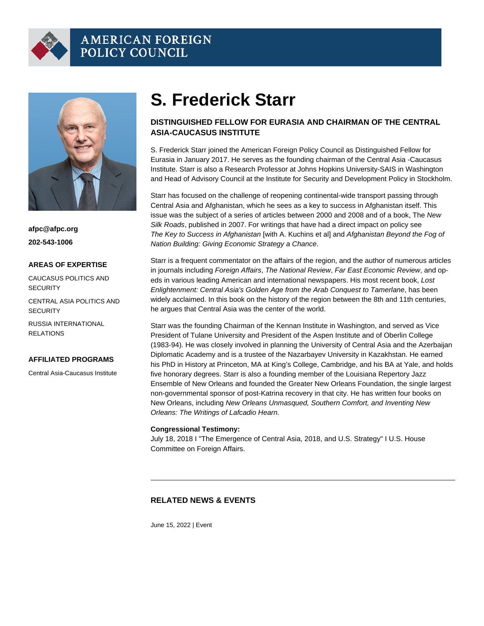# S. Frederick Starr

### DISTINGUISHED FELLOW FOR EURASIA AND CHAIRMAN OF THE CENTRAL ASIA-CAUCASUS INSTITUTE

S. Frederick Starr joined the American Foreign Policy Council as Distinguished Fellow for Eurasia in January 2017. He serves as the founding chairman of the Central Asia -Caucasus Institute. Starr is also a Research Professor at Johns Hopkins University-SAIS in Washington and Head of Advisory Council at the Institute for Security and Development Policy in Stockholm.

Starr has focused on the challenge of reopening continental-wide transport passing through Central Asia and Afghanistan, which he sees as a key to success in Afghanistan itself. This issue was the subject of a series of articles between 2000 and 2008 and of a book, The New Silk Roads, published in 2007. For writings that have had a direct impact on policy see The Key to Success in Afghanistan [with A. Kuchins et al] and Afghanistan Beyond the Fog of Nation Building: Giving Economic Strategy a Chance.

Starr is a frequent commentator on the affairs of the region, and the author of numerous articles in journals including Foreign Affairs, The National Review, Far East Economic Review, and opeds in various leading American and international newspapers. His most recent book, [Lost](http://silkroadstudies.org/publications/silkroad-papers-and-monographs/item/13024-lost-enlightenment-central-asias-golden-age-from-the-arab-conquest-to-tamerlane.html)  [Enlightenment: Central Asia's Golden Age from the Arab Conquest to Tamerlane,](http://silkroadstudies.org/publications/silkroad-papers-and-monographs/item/13024-lost-enlightenment-central-asias-golden-age-from-the-arab-conquest-to-tamerlane.html) has been widely acclaimed. In this book on the history of the region between the 8th and 11th centuries, he argues that Central Asia was the center of the world.

Starr was the founding Chairman of the Kennan Institute in Washington, and served as Vice President of Tulane University and President of the Aspen Institute and of Oberlin College (1983-94). He was closely involved in planning the University of Central Asia and the Azerbaijan Diplomatic Academy and is a trustee of the Nazarbayev University in Kazakhstan. He earned his PhD in History at Princeton, MA at King's College, Cambridge, and his BA at Yale, and holds five honorary degrees. Starr is also a founding member of the Louisiana Repertory Jazz Ensemble of New Orleans and founded the Greater New Orleans Foundation, the single largest non-governmental sponsor of post-Katrina recovery in that city. He has written four books on New Orleans, including [New Orleans Unmasqued,](https://www.amazon.com/New-Orleans-Unmasqued-Frederick-Starr/dp/0977668509/) [Southern Comfort,](https://www.amazon.com/Southern-Comfort-District-Orleans-Humanities/dp/1568985460/) and [Inventing New](http://www.amazon.com/Inventing-New-Orleans-Writings-Lafcadio/dp/1578063531/)  [Orleans: The Writings of Lafcadio Hearn](http://www.amazon.com/Inventing-New-Orleans-Writings-Lafcadio/dp/1578063531/).

Congressional Testimony:

July 18, 2018 I "[The Emergence of Central Asia, 2018, and U.S. Strategy](http://afpc.wrbltmp.net/news/media/afpcs-central-asia-caucasus-institute-chairman-s.-frederick-starr-testifies-before-the-house-committee-on-foreign-affairs)" I U.S. House Committee on Foreign Affairs.

### RELATED NEWS & EVENTS

June 15, 2022 | Event

afpc@afpc.org 202-543-1006

#### AREAS OF EXPERTISE

CAUCASUS POLITICS AND **SECURITY** 

CENTRAL ASIA POLITICS AND **SECURITY** 

RUSSIA INTERNATIONAL RELATIONS

#### AFFILIATED PROGRAMS

Central Asia-Caucasus Institute